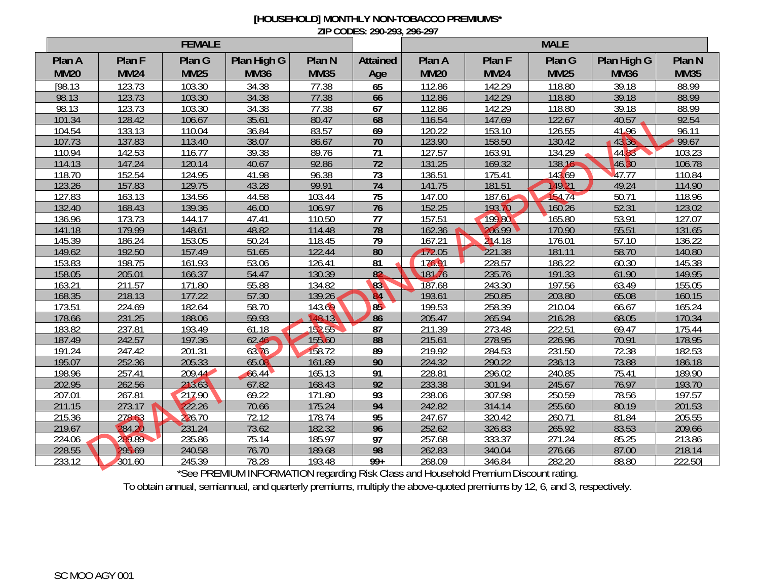## **[HOUSEHOLD] MONTHLY NON-TOBACCO PREMIUMS\* ZIP CODES: 290-293, 296-297**

| Plan G<br>Plan High G<br>Plan G<br>Plan N<br><b>Attained</b><br>Plan A<br>Plan A<br>Plan F<br>Plan F<br><b>MM20</b><br><b>MM25</b><br><b>MM36</b><br><b>MM35</b><br><b>MM20</b><br><b>MM24</b><br><b>MM25</b><br><b>MM24</b><br>Age | Plan High G<br><b>MM36</b> | Plan <sub>N</sub> |
|-------------------------------------------------------------------------------------------------------------------------------------------------------------------------------------------------------------------------------------|----------------------------|-------------------|
|                                                                                                                                                                                                                                     |                            |                   |
|                                                                                                                                                                                                                                     |                            | <b>MM35</b>       |
| [98.13]<br>123.73<br>103.30<br>34.38<br>77.38<br>65<br>112.86<br>142.29<br>118.80                                                                                                                                                   | 39.18                      | 88.99             |
| 103.30<br>77.38<br>98.13<br>123.73<br>34.38<br>66<br>112.86<br>142.29<br>118.80                                                                                                                                                     | 39.18                      | 88.99             |
| 67<br>98.13<br>77.38<br>118.80<br>123.73<br>103.30<br>34.38<br>112.86<br>142.29                                                                                                                                                     | 39.18                      | 88.99             |
| 35.61<br>80.47<br>68<br>101.34<br>128.42<br>106.67<br>116.54<br>147.69<br>122.67                                                                                                                                                    | 40.57                      | 92.54             |
| 126.55<br>110.04<br>36.84<br>83.57<br>69<br>120.22<br>104.54<br>133.13<br>153.10                                                                                                                                                    | 41.96                      | 96.11             |
| $\overline{70}$<br>107.73<br>137.83<br>113.40<br>38.07<br>86.67<br>123.90<br>130.42<br>158.50                                                                                                                                       | 43.36                      | 99.67             |
| 89.76<br>71<br>116.77<br>39.38<br>127.57<br>163.91<br>134.29<br>110.94<br>142.53                                                                                                                                                    | 4483                       | 103.23            |
| $\overline{72}$<br>114.13<br>120.14<br>40.67<br>92.86<br>131.25<br>169.32<br>138.16<br>147.24                                                                                                                                       | 46.30                      | 106.78            |
| $\overline{73}$<br>152.54<br>124.95<br>96.38<br>136.51<br>143.69<br>118.70<br>41.98<br>175.41                                                                                                                                       | 47.77                      | 110.84            |
| 149.21<br>129.75<br>99.91<br>74<br>123.26<br>157.83<br>43.28<br>141.75<br>181.51                                                                                                                                                    | 49.24                      | 114.90            |
| 134.56<br>75<br>154.74<br>127.83<br>44.58<br>103.44<br>147.00<br>187.61<br>163.13                                                                                                                                                   | 50.71                      | 118.96            |
| $\overline{76}$<br>160.26<br>139.36<br>152.25<br>193.70<br>132.40<br>168.43<br>46.00<br>106.97                                                                                                                                      | 52.31                      | 123.02            |
| 77<br>199.80<br>165.80<br>136.96<br>173.73<br>144.17<br>157.51<br>47.41<br>110.50                                                                                                                                                   | 53.91                      | 127.07            |
| 78<br>206.99<br>179.99<br>148.61<br>48.82<br>162.36<br>141.18<br>114.48<br>170.90                                                                                                                                                   | 55.51                      | 131.65            |
| 153.05<br>$\overline{79}$<br>145.39<br>186.24<br>118.45<br>167.21<br>214.18<br>176.01<br>50.24                                                                                                                                      | 57.10                      | 136.22            |
| 80<br>221.38<br>149.62<br>192.50<br>157.49<br>51.65<br>122.44<br>172.05<br>181.11                                                                                                                                                   | 58.70                      | 140.80            |
| 153.83<br>198.75<br>161.93<br>53.06<br>126.41<br>$\overline{81}$<br>176.91<br>186.22<br>228.57                                                                                                                                      | 60.30                      | 145.38            |
| 166.37<br>$\overline{82}$<br>235.76<br>54.47<br>130.39<br>181.76<br>191.33<br>158.05<br>205.01                                                                                                                                      | 61.90                      | 149.95            |
| 83<br>187.68<br>197.56<br>163.21<br>171.80<br>55.88<br>134.82<br>243.30<br>211.57                                                                                                                                                   | 63.49                      | 155.05            |
| 177.22<br>139.26<br>193.61<br>203.80<br>168.35<br>218.13<br>57.30<br><b>B4</b><br>250.85                                                                                                                                            | 65.08                      | 160.15            |
| 182.64<br>58.70<br>85<br>199.53<br>210.04<br>173.51<br>224.69<br>143.69<br>258.39                                                                                                                                                   | 66.67                      | 165.24            |
| 18 13<br>231.25<br>188.06<br>59.93<br>86<br>205.47<br>216.28<br>178.66<br>265.94                                                                                                                                                    | 68.05                      | 170.34            |
| 183.82<br>193.49<br>222.51<br>237.81<br>61.18<br>152.55<br>87<br>211.39<br>273.48                                                                                                                                                   | 69.47                      | 175.44            |
| 242.57<br>197.36<br>155.60<br>88<br>215.61<br>187.49<br>62.46<br>278.95<br>226.96                                                                                                                                                   | 70.91                      | 178.95            |
| 63.76<br>158.72<br>191.24<br>247.42<br>201.31<br>89<br>219.92<br>231.50<br>284.53                                                                                                                                                   | 72.38                      | 182.53            |
| 205.33<br>90<br>195.07<br>252.36<br>161.89<br>224.32<br>236.13<br>65.08<br>290.22                                                                                                                                                   | 73.88                      | 186.18            |
| 209.44<br>165.13<br>91<br>228.81<br>240.85<br>198.96<br>257.41<br>66.44<br>296.02                                                                                                                                                   | 75.41                      | 189.90            |
| 213.63<br>67.82<br>$\overline{92}$<br>233.38<br>262.56<br>168.43<br>245.67<br>202.95<br>301.94                                                                                                                                      | 76.97                      | 193.70            |
| 217.90<br>69.22<br>93<br>238.06<br>250.59<br>207.01<br>267.81<br>171.80<br>307.98                                                                                                                                                   | 78.56                      | 197.57            |
| 175.24<br>211.15<br>273.17<br>222.26<br>70.66<br>94<br>242.82<br>255.60<br>314.14                                                                                                                                                   | 80.19                      | 201.53            |
| 215.36<br>226.70<br>178.74<br>95<br>247.67<br>260.71<br>278.63<br>72.12<br>320.42                                                                                                                                                   | 81.84                      | 205.55            |
| 219.67<br>284.20<br>231.24<br>182.32<br>96<br>252.62<br>73.62<br>265.92<br>326.83                                                                                                                                                   | 83.53                      | 209.66            |
| $\overline{97}$<br>289.89<br>235.86<br>185.97<br>257.68<br>271.24<br>224.06<br>75.14<br>333.37                                                                                                                                      | 85.25                      | 213.86            |
| 98<br>295.69<br>262.83<br>228.55<br>240.58<br>76.70<br>189.68<br>276.66<br>340.04                                                                                                                                                   | 87.00                      | 218.14            |
| $99+$<br>233.12<br>301.60<br>245.39<br>78.28<br>193.48<br>268.09<br>346.84<br>282.20<br>$D1$ $D1$                                                                                                                                   | 88.80                      | 222.50]           |

\*See PREMIUM INFORMATION regarding Risk Class and Household Premium Discount rating.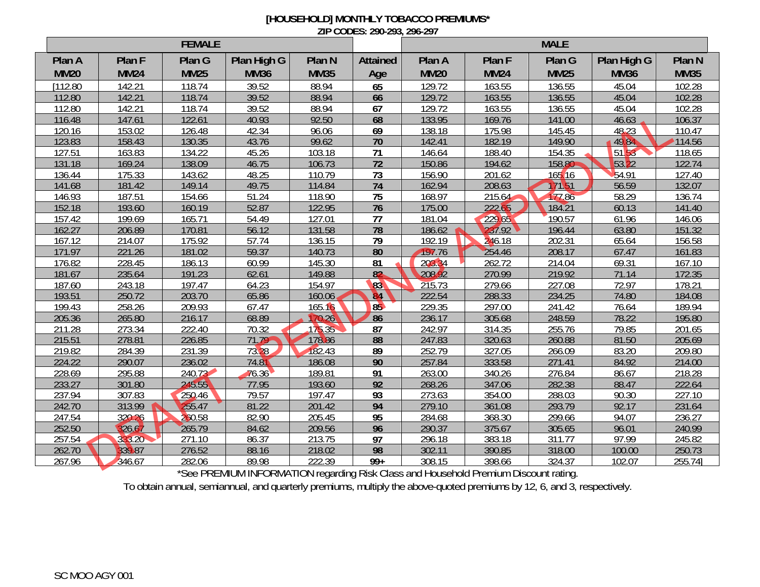## **[HOUSEHOLD] MONTHLY TOBACCO PREMIUMS\* ZIP CODES: 290-293, 296-297**

| Plan G<br>Plan High G<br>Plan G<br>Plan High G<br>Plan A<br>Plan F<br>Plan <sub>N</sub><br><b>Attained</b><br>Plan A<br>Plan F<br>Plan N<br><b>MM35</b><br><b>MM20</b><br><b>MM24</b><br><b>MM25</b><br><b>MM36</b><br><b>MM35</b><br><b>MM20</b><br><b>MM24</b><br><b>MM25</b><br><b>MM36</b><br>Age<br>118.74<br>39.52<br>129.72<br>$\overline{1112.80}$<br>142.21<br>88.94<br>65<br>163.55<br>136.55<br>45.04<br>102.28<br>118.74<br>39.52<br>88.94<br>129.72<br>136.55<br>102.28<br>112.80<br>142.21<br>163.55<br>45.04<br>66<br>67<br>129.72<br>112.80<br>142.21<br>118.74<br>39.52<br>88.94<br>163.55<br>136.55<br>45.04<br>102.28<br>92.50<br>68<br>133.95<br>116.48<br>122.61<br>40.93<br>46.63<br>106.37<br>147.61<br>169.76<br>141.00<br>153.02<br>126.48<br>69<br>138.18<br>175.98<br>145.45<br>48.23<br>110.47<br>120.16<br>42.34<br>96.06<br>130.35<br>70<br>114.56<br>123.83<br>43.76<br>99.62<br>149.90<br>49.84<br>158.43<br>142.41<br>182.19<br>5153<br>134.22<br>103.18<br>71<br>146.64<br>154.35<br>118.65<br>127.51<br>163.83<br>45.26<br>188.40<br>$\overline{72}$<br>150.86<br>131.18<br>138.09<br>106.73<br>158.80<br>53.22<br>169.24<br>46.75<br>194.62<br>122.74<br>143.62<br>48.25<br>110.79<br>$\overline{73}$<br>54.91<br>127.40<br>175.33<br>156.90<br>201.62<br>165.16<br>136.44<br>74<br>17151<br>56.59<br>141.68<br>149.14<br>49.75<br>162.94<br>208.63<br>132.07<br>181.42<br>114.84<br>136.74<br>154.66<br>51.24<br>118.90<br>$\overline{75}$<br>168.97<br>215.64<br>177.86<br>58.29<br>146.93<br>187.51<br>160.19<br>52.87<br>122.95<br>$\overline{76}$<br>175.00<br>184.21<br>152.18<br>193.60<br>222.65<br>60.13<br>141.40<br>199.69<br>165.71<br>54.49<br>127.01<br>77<br>181.04<br>229.65<br>190.57<br>146.06<br>157.42<br>61.96<br>151.32<br>78<br>186.62<br>237.92<br>162.27<br>206.89<br>170.81<br>56.12<br>131.58<br>63.80<br>196.44<br>$\overline{79}$<br>156.58<br>175.92<br>192.19<br>246.18<br>202.31<br>65.64<br>167.12<br>214.07<br>57.74<br>136.15<br>80<br>254.46<br>161.83<br>171.97<br>221.26<br>181.02<br>59.37<br>140.73<br>197.76<br>208.17<br>67.47<br>176.82<br>145.30<br>203.34<br>167.10<br>228.45<br>186.13<br>60.99<br>262.72<br>214.04<br>69.31<br>81<br>82<br>181.67<br>191.23<br>149.88<br>208.92<br>219.92<br>71.14<br>172.35<br>235.64<br>62.61<br>270.99<br>83<br>215.73<br>178.21<br>197.47<br>64.23<br>154.97<br>227.08<br>72.97<br>187.60<br>243.18<br>279.66<br>222.54<br>193.51<br>203.70<br>84<br>288.33<br>234.25<br>74.80<br>184.08<br>250.72<br>65.86<br>160.06<br>85<br>189.94<br>199.43<br>209.93<br>67.47<br>229.35<br>297.00<br>241.42<br>258.26<br>165.16<br>76.64<br>68.89<br>248.59<br>195.80<br>205.36<br>265.80<br>216.17<br>70.26<br>86<br>236.17<br>305.68<br>78.22<br>242.97<br>273.34<br>$\overline{222.40}$<br>70.32<br>175.35<br>255.76<br>79.85<br>201.65<br>211.28<br>87<br>314.35<br>88<br>247.83<br>205.69<br>215.51<br>278.81<br>226.85<br>71.79<br>178.86<br>320.63<br>260.88<br>81.50<br>182.43<br>231.39<br>73.28<br>89<br>252.79<br>266.09<br>83.20<br>209.80<br>219.82<br>284.39<br>327.05<br>236.02<br>90<br>224.22<br>186.08<br>257.84<br>214.00<br>290.07<br>74.81<br>333.58<br>271.41<br>84.92<br>240.73<br>76.36<br>189.81<br>263.00<br>276.84<br>218.28<br>228.69<br>295.88<br>91<br>340.26<br>86.67<br>245.55<br>$\overline{92}$<br>233.27<br>77.95<br>268.26<br>282.38<br>301.80<br>193.60<br>347.06<br>88.47<br>222.64<br>227.10<br>237.94<br>197.47<br>93<br>273.63<br>288.03<br>307.83<br>250.46<br>79.57<br>354.00<br>90.30<br>242.70<br>313.99<br>255.47<br>81.22<br>201.42<br>94<br>279.10<br>293.79<br>231.64<br>361.08<br>92.17<br>236.27<br>320.26<br>260.58<br>205.45<br>95<br>284.68<br>299.66<br>247.54<br>82.90<br>368.30<br>94.07<br>252.50<br>326.67<br>265.79<br>240.99<br>84.62<br>209.56<br>96<br>290.37<br>305.65<br>375.67<br>96.01<br>$\overline{97}$<br>333.20<br>$\overline{271}.10$<br>86.37<br>213.75<br>311.77<br>97.99<br>245.82<br>257.54<br>296.18<br>383.18<br>98<br>339.87<br>276.52<br>262.70<br>88.16<br>218.02<br>302.11<br>390.85<br>318.00<br>100.00<br>250.73 | <b>FEMALE</b> |        |        |       |        |       | <b>MALE</b> |        |        |        |         |  |
|------------------------------------------------------------------------------------------------------------------------------------------------------------------------------------------------------------------------------------------------------------------------------------------------------------------------------------------------------------------------------------------------------------------------------------------------------------------------------------------------------------------------------------------------------------------------------------------------------------------------------------------------------------------------------------------------------------------------------------------------------------------------------------------------------------------------------------------------------------------------------------------------------------------------------------------------------------------------------------------------------------------------------------------------------------------------------------------------------------------------------------------------------------------------------------------------------------------------------------------------------------------------------------------------------------------------------------------------------------------------------------------------------------------------------------------------------------------------------------------------------------------------------------------------------------------------------------------------------------------------------------------------------------------------------------------------------------------------------------------------------------------------------------------------------------------------------------------------------------------------------------------------------------------------------------------------------------------------------------------------------------------------------------------------------------------------------------------------------------------------------------------------------------------------------------------------------------------------------------------------------------------------------------------------------------------------------------------------------------------------------------------------------------------------------------------------------------------------------------------------------------------------------------------------------------------------------------------------------------------------------------------------------------------------------------------------------------------------------------------------------------------------------------------------------------------------------------------------------------------------------------------------------------------------------------------------------------------------------------------------------------------------------------------------------------------------------------------------------------------------------------------------------------------------------------------------------------------------------------------------------------------------------------------------------------------------------------------------------------------------------------------------------------------------------------------------------------------------------------------------------------------------------------------------------------------------------------------------------------------------------------------------------------------------------------------------------------------------------------------------------------------------------------------------------------------------------------------------------------------------------------------------------------------------------------------------------------------------------------------------------------------------------------------------------------------------------------------------------------------|---------------|--------|--------|-------|--------|-------|-------------|--------|--------|--------|---------|--|
|                                                                                                                                                                                                                                                                                                                                                                                                                                                                                                                                                                                                                                                                                                                                                                                                                                                                                                                                                                                                                                                                                                                                                                                                                                                                                                                                                                                                                                                                                                                                                                                                                                                                                                                                                                                                                                                                                                                                                                                                                                                                                                                                                                                                                                                                                                                                                                                                                                                                                                                                                                                                                                                                                                                                                                                                                                                                                                                                                                                                                                                                                                                                                                                                                                                                                                                                                                                                                                                                                                                                                                                                                                                                                                                                                                                                                                                                                                                                                                                                                                                                                                                  |               |        |        |       |        |       |             |        |        |        |         |  |
|                                                                                                                                                                                                                                                                                                                                                                                                                                                                                                                                                                                                                                                                                                                                                                                                                                                                                                                                                                                                                                                                                                                                                                                                                                                                                                                                                                                                                                                                                                                                                                                                                                                                                                                                                                                                                                                                                                                                                                                                                                                                                                                                                                                                                                                                                                                                                                                                                                                                                                                                                                                                                                                                                                                                                                                                                                                                                                                                                                                                                                                                                                                                                                                                                                                                                                                                                                                                                                                                                                                                                                                                                                                                                                                                                                                                                                                                                                                                                                                                                                                                                                                  |               |        |        |       |        |       |             |        |        |        |         |  |
|                                                                                                                                                                                                                                                                                                                                                                                                                                                                                                                                                                                                                                                                                                                                                                                                                                                                                                                                                                                                                                                                                                                                                                                                                                                                                                                                                                                                                                                                                                                                                                                                                                                                                                                                                                                                                                                                                                                                                                                                                                                                                                                                                                                                                                                                                                                                                                                                                                                                                                                                                                                                                                                                                                                                                                                                                                                                                                                                                                                                                                                                                                                                                                                                                                                                                                                                                                                                                                                                                                                                                                                                                                                                                                                                                                                                                                                                                                                                                                                                                                                                                                                  |               |        |        |       |        |       |             |        |        |        |         |  |
|                                                                                                                                                                                                                                                                                                                                                                                                                                                                                                                                                                                                                                                                                                                                                                                                                                                                                                                                                                                                                                                                                                                                                                                                                                                                                                                                                                                                                                                                                                                                                                                                                                                                                                                                                                                                                                                                                                                                                                                                                                                                                                                                                                                                                                                                                                                                                                                                                                                                                                                                                                                                                                                                                                                                                                                                                                                                                                                                                                                                                                                                                                                                                                                                                                                                                                                                                                                                                                                                                                                                                                                                                                                                                                                                                                                                                                                                                                                                                                                                                                                                                                                  |               |        |        |       |        |       |             |        |        |        |         |  |
|                                                                                                                                                                                                                                                                                                                                                                                                                                                                                                                                                                                                                                                                                                                                                                                                                                                                                                                                                                                                                                                                                                                                                                                                                                                                                                                                                                                                                                                                                                                                                                                                                                                                                                                                                                                                                                                                                                                                                                                                                                                                                                                                                                                                                                                                                                                                                                                                                                                                                                                                                                                                                                                                                                                                                                                                                                                                                                                                                                                                                                                                                                                                                                                                                                                                                                                                                                                                                                                                                                                                                                                                                                                                                                                                                                                                                                                                                                                                                                                                                                                                                                                  |               |        |        |       |        |       |             |        |        |        |         |  |
|                                                                                                                                                                                                                                                                                                                                                                                                                                                                                                                                                                                                                                                                                                                                                                                                                                                                                                                                                                                                                                                                                                                                                                                                                                                                                                                                                                                                                                                                                                                                                                                                                                                                                                                                                                                                                                                                                                                                                                                                                                                                                                                                                                                                                                                                                                                                                                                                                                                                                                                                                                                                                                                                                                                                                                                                                                                                                                                                                                                                                                                                                                                                                                                                                                                                                                                                                                                                                                                                                                                                                                                                                                                                                                                                                                                                                                                                                                                                                                                                                                                                                                                  |               |        |        |       |        |       |             |        |        |        |         |  |
|                                                                                                                                                                                                                                                                                                                                                                                                                                                                                                                                                                                                                                                                                                                                                                                                                                                                                                                                                                                                                                                                                                                                                                                                                                                                                                                                                                                                                                                                                                                                                                                                                                                                                                                                                                                                                                                                                                                                                                                                                                                                                                                                                                                                                                                                                                                                                                                                                                                                                                                                                                                                                                                                                                                                                                                                                                                                                                                                                                                                                                                                                                                                                                                                                                                                                                                                                                                                                                                                                                                                                                                                                                                                                                                                                                                                                                                                                                                                                                                                                                                                                                                  |               |        |        |       |        |       |             |        |        |        |         |  |
|                                                                                                                                                                                                                                                                                                                                                                                                                                                                                                                                                                                                                                                                                                                                                                                                                                                                                                                                                                                                                                                                                                                                                                                                                                                                                                                                                                                                                                                                                                                                                                                                                                                                                                                                                                                                                                                                                                                                                                                                                                                                                                                                                                                                                                                                                                                                                                                                                                                                                                                                                                                                                                                                                                                                                                                                                                                                                                                                                                                                                                                                                                                                                                                                                                                                                                                                                                                                                                                                                                                                                                                                                                                                                                                                                                                                                                                                                                                                                                                                                                                                                                                  |               |        |        |       |        |       |             |        |        |        |         |  |
|                                                                                                                                                                                                                                                                                                                                                                                                                                                                                                                                                                                                                                                                                                                                                                                                                                                                                                                                                                                                                                                                                                                                                                                                                                                                                                                                                                                                                                                                                                                                                                                                                                                                                                                                                                                                                                                                                                                                                                                                                                                                                                                                                                                                                                                                                                                                                                                                                                                                                                                                                                                                                                                                                                                                                                                                                                                                                                                                                                                                                                                                                                                                                                                                                                                                                                                                                                                                                                                                                                                                                                                                                                                                                                                                                                                                                                                                                                                                                                                                                                                                                                                  |               |        |        |       |        |       |             |        |        |        |         |  |
|                                                                                                                                                                                                                                                                                                                                                                                                                                                                                                                                                                                                                                                                                                                                                                                                                                                                                                                                                                                                                                                                                                                                                                                                                                                                                                                                                                                                                                                                                                                                                                                                                                                                                                                                                                                                                                                                                                                                                                                                                                                                                                                                                                                                                                                                                                                                                                                                                                                                                                                                                                                                                                                                                                                                                                                                                                                                                                                                                                                                                                                                                                                                                                                                                                                                                                                                                                                                                                                                                                                                                                                                                                                                                                                                                                                                                                                                                                                                                                                                                                                                                                                  |               |        |        |       |        |       |             |        |        |        |         |  |
|                                                                                                                                                                                                                                                                                                                                                                                                                                                                                                                                                                                                                                                                                                                                                                                                                                                                                                                                                                                                                                                                                                                                                                                                                                                                                                                                                                                                                                                                                                                                                                                                                                                                                                                                                                                                                                                                                                                                                                                                                                                                                                                                                                                                                                                                                                                                                                                                                                                                                                                                                                                                                                                                                                                                                                                                                                                                                                                                                                                                                                                                                                                                                                                                                                                                                                                                                                                                                                                                                                                                                                                                                                                                                                                                                                                                                                                                                                                                                                                                                                                                                                                  |               |        |        |       |        |       |             |        |        |        |         |  |
|                                                                                                                                                                                                                                                                                                                                                                                                                                                                                                                                                                                                                                                                                                                                                                                                                                                                                                                                                                                                                                                                                                                                                                                                                                                                                                                                                                                                                                                                                                                                                                                                                                                                                                                                                                                                                                                                                                                                                                                                                                                                                                                                                                                                                                                                                                                                                                                                                                                                                                                                                                                                                                                                                                                                                                                                                                                                                                                                                                                                                                                                                                                                                                                                                                                                                                                                                                                                                                                                                                                                                                                                                                                                                                                                                                                                                                                                                                                                                                                                                                                                                                                  |               |        |        |       |        |       |             |        |        |        |         |  |
|                                                                                                                                                                                                                                                                                                                                                                                                                                                                                                                                                                                                                                                                                                                                                                                                                                                                                                                                                                                                                                                                                                                                                                                                                                                                                                                                                                                                                                                                                                                                                                                                                                                                                                                                                                                                                                                                                                                                                                                                                                                                                                                                                                                                                                                                                                                                                                                                                                                                                                                                                                                                                                                                                                                                                                                                                                                                                                                                                                                                                                                                                                                                                                                                                                                                                                                                                                                                                                                                                                                                                                                                                                                                                                                                                                                                                                                                                                                                                                                                                                                                                                                  |               |        |        |       |        |       |             |        |        |        |         |  |
|                                                                                                                                                                                                                                                                                                                                                                                                                                                                                                                                                                                                                                                                                                                                                                                                                                                                                                                                                                                                                                                                                                                                                                                                                                                                                                                                                                                                                                                                                                                                                                                                                                                                                                                                                                                                                                                                                                                                                                                                                                                                                                                                                                                                                                                                                                                                                                                                                                                                                                                                                                                                                                                                                                                                                                                                                                                                                                                                                                                                                                                                                                                                                                                                                                                                                                                                                                                                                                                                                                                                                                                                                                                                                                                                                                                                                                                                                                                                                                                                                                                                                                                  |               |        |        |       |        |       |             |        |        |        |         |  |
|                                                                                                                                                                                                                                                                                                                                                                                                                                                                                                                                                                                                                                                                                                                                                                                                                                                                                                                                                                                                                                                                                                                                                                                                                                                                                                                                                                                                                                                                                                                                                                                                                                                                                                                                                                                                                                                                                                                                                                                                                                                                                                                                                                                                                                                                                                                                                                                                                                                                                                                                                                                                                                                                                                                                                                                                                                                                                                                                                                                                                                                                                                                                                                                                                                                                                                                                                                                                                                                                                                                                                                                                                                                                                                                                                                                                                                                                                                                                                                                                                                                                                                                  |               |        |        |       |        |       |             |        |        |        |         |  |
|                                                                                                                                                                                                                                                                                                                                                                                                                                                                                                                                                                                                                                                                                                                                                                                                                                                                                                                                                                                                                                                                                                                                                                                                                                                                                                                                                                                                                                                                                                                                                                                                                                                                                                                                                                                                                                                                                                                                                                                                                                                                                                                                                                                                                                                                                                                                                                                                                                                                                                                                                                                                                                                                                                                                                                                                                                                                                                                                                                                                                                                                                                                                                                                                                                                                                                                                                                                                                                                                                                                                                                                                                                                                                                                                                                                                                                                                                                                                                                                                                                                                                                                  |               |        |        |       |        |       |             |        |        |        |         |  |
|                                                                                                                                                                                                                                                                                                                                                                                                                                                                                                                                                                                                                                                                                                                                                                                                                                                                                                                                                                                                                                                                                                                                                                                                                                                                                                                                                                                                                                                                                                                                                                                                                                                                                                                                                                                                                                                                                                                                                                                                                                                                                                                                                                                                                                                                                                                                                                                                                                                                                                                                                                                                                                                                                                                                                                                                                                                                                                                                                                                                                                                                                                                                                                                                                                                                                                                                                                                                                                                                                                                                                                                                                                                                                                                                                                                                                                                                                                                                                                                                                                                                                                                  |               |        |        |       |        |       |             |        |        |        |         |  |
|                                                                                                                                                                                                                                                                                                                                                                                                                                                                                                                                                                                                                                                                                                                                                                                                                                                                                                                                                                                                                                                                                                                                                                                                                                                                                                                                                                                                                                                                                                                                                                                                                                                                                                                                                                                                                                                                                                                                                                                                                                                                                                                                                                                                                                                                                                                                                                                                                                                                                                                                                                                                                                                                                                                                                                                                                                                                                                                                                                                                                                                                                                                                                                                                                                                                                                                                                                                                                                                                                                                                                                                                                                                                                                                                                                                                                                                                                                                                                                                                                                                                                                                  |               |        |        |       |        |       |             |        |        |        |         |  |
|                                                                                                                                                                                                                                                                                                                                                                                                                                                                                                                                                                                                                                                                                                                                                                                                                                                                                                                                                                                                                                                                                                                                                                                                                                                                                                                                                                                                                                                                                                                                                                                                                                                                                                                                                                                                                                                                                                                                                                                                                                                                                                                                                                                                                                                                                                                                                                                                                                                                                                                                                                                                                                                                                                                                                                                                                                                                                                                                                                                                                                                                                                                                                                                                                                                                                                                                                                                                                                                                                                                                                                                                                                                                                                                                                                                                                                                                                                                                                                                                                                                                                                                  |               |        |        |       |        |       |             |        |        |        |         |  |
|                                                                                                                                                                                                                                                                                                                                                                                                                                                                                                                                                                                                                                                                                                                                                                                                                                                                                                                                                                                                                                                                                                                                                                                                                                                                                                                                                                                                                                                                                                                                                                                                                                                                                                                                                                                                                                                                                                                                                                                                                                                                                                                                                                                                                                                                                                                                                                                                                                                                                                                                                                                                                                                                                                                                                                                                                                                                                                                                                                                                                                                                                                                                                                                                                                                                                                                                                                                                                                                                                                                                                                                                                                                                                                                                                                                                                                                                                                                                                                                                                                                                                                                  |               |        |        |       |        |       |             |        |        |        |         |  |
|                                                                                                                                                                                                                                                                                                                                                                                                                                                                                                                                                                                                                                                                                                                                                                                                                                                                                                                                                                                                                                                                                                                                                                                                                                                                                                                                                                                                                                                                                                                                                                                                                                                                                                                                                                                                                                                                                                                                                                                                                                                                                                                                                                                                                                                                                                                                                                                                                                                                                                                                                                                                                                                                                                                                                                                                                                                                                                                                                                                                                                                                                                                                                                                                                                                                                                                                                                                                                                                                                                                                                                                                                                                                                                                                                                                                                                                                                                                                                                                                                                                                                                                  |               |        |        |       |        |       |             |        |        |        |         |  |
|                                                                                                                                                                                                                                                                                                                                                                                                                                                                                                                                                                                                                                                                                                                                                                                                                                                                                                                                                                                                                                                                                                                                                                                                                                                                                                                                                                                                                                                                                                                                                                                                                                                                                                                                                                                                                                                                                                                                                                                                                                                                                                                                                                                                                                                                                                                                                                                                                                                                                                                                                                                                                                                                                                                                                                                                                                                                                                                                                                                                                                                                                                                                                                                                                                                                                                                                                                                                                                                                                                                                                                                                                                                                                                                                                                                                                                                                                                                                                                                                                                                                                                                  |               |        |        |       |        |       |             |        |        |        |         |  |
|                                                                                                                                                                                                                                                                                                                                                                                                                                                                                                                                                                                                                                                                                                                                                                                                                                                                                                                                                                                                                                                                                                                                                                                                                                                                                                                                                                                                                                                                                                                                                                                                                                                                                                                                                                                                                                                                                                                                                                                                                                                                                                                                                                                                                                                                                                                                                                                                                                                                                                                                                                                                                                                                                                                                                                                                                                                                                                                                                                                                                                                                                                                                                                                                                                                                                                                                                                                                                                                                                                                                                                                                                                                                                                                                                                                                                                                                                                                                                                                                                                                                                                                  |               |        |        |       |        |       |             |        |        |        |         |  |
|                                                                                                                                                                                                                                                                                                                                                                                                                                                                                                                                                                                                                                                                                                                                                                                                                                                                                                                                                                                                                                                                                                                                                                                                                                                                                                                                                                                                                                                                                                                                                                                                                                                                                                                                                                                                                                                                                                                                                                                                                                                                                                                                                                                                                                                                                                                                                                                                                                                                                                                                                                                                                                                                                                                                                                                                                                                                                                                                                                                                                                                                                                                                                                                                                                                                                                                                                                                                                                                                                                                                                                                                                                                                                                                                                                                                                                                                                                                                                                                                                                                                                                                  |               |        |        |       |        |       |             |        |        |        |         |  |
|                                                                                                                                                                                                                                                                                                                                                                                                                                                                                                                                                                                                                                                                                                                                                                                                                                                                                                                                                                                                                                                                                                                                                                                                                                                                                                                                                                                                                                                                                                                                                                                                                                                                                                                                                                                                                                                                                                                                                                                                                                                                                                                                                                                                                                                                                                                                                                                                                                                                                                                                                                                                                                                                                                                                                                                                                                                                                                                                                                                                                                                                                                                                                                                                                                                                                                                                                                                                                                                                                                                                                                                                                                                                                                                                                                                                                                                                                                                                                                                                                                                                                                                  |               |        |        |       |        |       |             |        |        |        |         |  |
|                                                                                                                                                                                                                                                                                                                                                                                                                                                                                                                                                                                                                                                                                                                                                                                                                                                                                                                                                                                                                                                                                                                                                                                                                                                                                                                                                                                                                                                                                                                                                                                                                                                                                                                                                                                                                                                                                                                                                                                                                                                                                                                                                                                                                                                                                                                                                                                                                                                                                                                                                                                                                                                                                                                                                                                                                                                                                                                                                                                                                                                                                                                                                                                                                                                                                                                                                                                                                                                                                                                                                                                                                                                                                                                                                                                                                                                                                                                                                                                                                                                                                                                  |               |        |        |       |        |       |             |        |        |        |         |  |
|                                                                                                                                                                                                                                                                                                                                                                                                                                                                                                                                                                                                                                                                                                                                                                                                                                                                                                                                                                                                                                                                                                                                                                                                                                                                                                                                                                                                                                                                                                                                                                                                                                                                                                                                                                                                                                                                                                                                                                                                                                                                                                                                                                                                                                                                                                                                                                                                                                                                                                                                                                                                                                                                                                                                                                                                                                                                                                                                                                                                                                                                                                                                                                                                                                                                                                                                                                                                                                                                                                                                                                                                                                                                                                                                                                                                                                                                                                                                                                                                                                                                                                                  |               |        |        |       |        |       |             |        |        |        |         |  |
|                                                                                                                                                                                                                                                                                                                                                                                                                                                                                                                                                                                                                                                                                                                                                                                                                                                                                                                                                                                                                                                                                                                                                                                                                                                                                                                                                                                                                                                                                                                                                                                                                                                                                                                                                                                                                                                                                                                                                                                                                                                                                                                                                                                                                                                                                                                                                                                                                                                                                                                                                                                                                                                                                                                                                                                                                                                                                                                                                                                                                                                                                                                                                                                                                                                                                                                                                                                                                                                                                                                                                                                                                                                                                                                                                                                                                                                                                                                                                                                                                                                                                                                  |               |        |        |       |        |       |             |        |        |        |         |  |
|                                                                                                                                                                                                                                                                                                                                                                                                                                                                                                                                                                                                                                                                                                                                                                                                                                                                                                                                                                                                                                                                                                                                                                                                                                                                                                                                                                                                                                                                                                                                                                                                                                                                                                                                                                                                                                                                                                                                                                                                                                                                                                                                                                                                                                                                                                                                                                                                                                                                                                                                                                                                                                                                                                                                                                                                                                                                                                                                                                                                                                                                                                                                                                                                                                                                                                                                                                                                                                                                                                                                                                                                                                                                                                                                                                                                                                                                                                                                                                                                                                                                                                                  |               |        |        |       |        |       |             |        |        |        |         |  |
|                                                                                                                                                                                                                                                                                                                                                                                                                                                                                                                                                                                                                                                                                                                                                                                                                                                                                                                                                                                                                                                                                                                                                                                                                                                                                                                                                                                                                                                                                                                                                                                                                                                                                                                                                                                                                                                                                                                                                                                                                                                                                                                                                                                                                                                                                                                                                                                                                                                                                                                                                                                                                                                                                                                                                                                                                                                                                                                                                                                                                                                                                                                                                                                                                                                                                                                                                                                                                                                                                                                                                                                                                                                                                                                                                                                                                                                                                                                                                                                                                                                                                                                  |               |        |        |       |        |       |             |        |        |        |         |  |
|                                                                                                                                                                                                                                                                                                                                                                                                                                                                                                                                                                                                                                                                                                                                                                                                                                                                                                                                                                                                                                                                                                                                                                                                                                                                                                                                                                                                                                                                                                                                                                                                                                                                                                                                                                                                                                                                                                                                                                                                                                                                                                                                                                                                                                                                                                                                                                                                                                                                                                                                                                                                                                                                                                                                                                                                                                                                                                                                                                                                                                                                                                                                                                                                                                                                                                                                                                                                                                                                                                                                                                                                                                                                                                                                                                                                                                                                                                                                                                                                                                                                                                                  |               |        |        |       |        |       |             |        |        |        |         |  |
|                                                                                                                                                                                                                                                                                                                                                                                                                                                                                                                                                                                                                                                                                                                                                                                                                                                                                                                                                                                                                                                                                                                                                                                                                                                                                                                                                                                                                                                                                                                                                                                                                                                                                                                                                                                                                                                                                                                                                                                                                                                                                                                                                                                                                                                                                                                                                                                                                                                                                                                                                                                                                                                                                                                                                                                                                                                                                                                                                                                                                                                                                                                                                                                                                                                                                                                                                                                                                                                                                                                                                                                                                                                                                                                                                                                                                                                                                                                                                                                                                                                                                                                  |               |        |        |       |        |       |             |        |        |        |         |  |
|                                                                                                                                                                                                                                                                                                                                                                                                                                                                                                                                                                                                                                                                                                                                                                                                                                                                                                                                                                                                                                                                                                                                                                                                                                                                                                                                                                                                                                                                                                                                                                                                                                                                                                                                                                                                                                                                                                                                                                                                                                                                                                                                                                                                                                                                                                                                                                                                                                                                                                                                                                                                                                                                                                                                                                                                                                                                                                                                                                                                                                                                                                                                                                                                                                                                                                                                                                                                                                                                                                                                                                                                                                                                                                                                                                                                                                                                                                                                                                                                                                                                                                                  |               |        |        |       |        |       |             |        |        |        |         |  |
|                                                                                                                                                                                                                                                                                                                                                                                                                                                                                                                                                                                                                                                                                                                                                                                                                                                                                                                                                                                                                                                                                                                                                                                                                                                                                                                                                                                                                                                                                                                                                                                                                                                                                                                                                                                                                                                                                                                                                                                                                                                                                                                                                                                                                                                                                                                                                                                                                                                                                                                                                                                                                                                                                                                                                                                                                                                                                                                                                                                                                                                                                                                                                                                                                                                                                                                                                                                                                                                                                                                                                                                                                                                                                                                                                                                                                                                                                                                                                                                                                                                                                                                  |               |        |        |       |        |       |             |        |        |        |         |  |
|                                                                                                                                                                                                                                                                                                                                                                                                                                                                                                                                                                                                                                                                                                                                                                                                                                                                                                                                                                                                                                                                                                                                                                                                                                                                                                                                                                                                                                                                                                                                                                                                                                                                                                                                                                                                                                                                                                                                                                                                                                                                                                                                                                                                                                                                                                                                                                                                                                                                                                                                                                                                                                                                                                                                                                                                                                                                                                                                                                                                                                                                                                                                                                                                                                                                                                                                                                                                                                                                                                                                                                                                                                                                                                                                                                                                                                                                                                                                                                                                                                                                                                                  |               |        |        |       |        |       |             |        |        |        |         |  |
|                                                                                                                                                                                                                                                                                                                                                                                                                                                                                                                                                                                                                                                                                                                                                                                                                                                                                                                                                                                                                                                                                                                                                                                                                                                                                                                                                                                                                                                                                                                                                                                                                                                                                                                                                                                                                                                                                                                                                                                                                                                                                                                                                                                                                                                                                                                                                                                                                                                                                                                                                                                                                                                                                                                                                                                                                                                                                                                                                                                                                                                                                                                                                                                                                                                                                                                                                                                                                                                                                                                                                                                                                                                                                                                                                                                                                                                                                                                                                                                                                                                                                                                  |               |        |        |       |        |       |             |        |        |        |         |  |
|                                                                                                                                                                                                                                                                                                                                                                                                                                                                                                                                                                                                                                                                                                                                                                                                                                                                                                                                                                                                                                                                                                                                                                                                                                                                                                                                                                                                                                                                                                                                                                                                                                                                                                                                                                                                                                                                                                                                                                                                                                                                                                                                                                                                                                                                                                                                                                                                                                                                                                                                                                                                                                                                                                                                                                                                                                                                                                                                                                                                                                                                                                                                                                                                                                                                                                                                                                                                                                                                                                                                                                                                                                                                                                                                                                                                                                                                                                                                                                                                                                                                                                                  | 267.96        | 346.67 | 282.06 | 89.98 | 222.39 | $99+$ | 308.15      | 398.66 | 324.37 | 102.07 | 255.74] |  |

\*See PREMIUM INFORMATION regarding Risk Class and Household Premium Discount rating.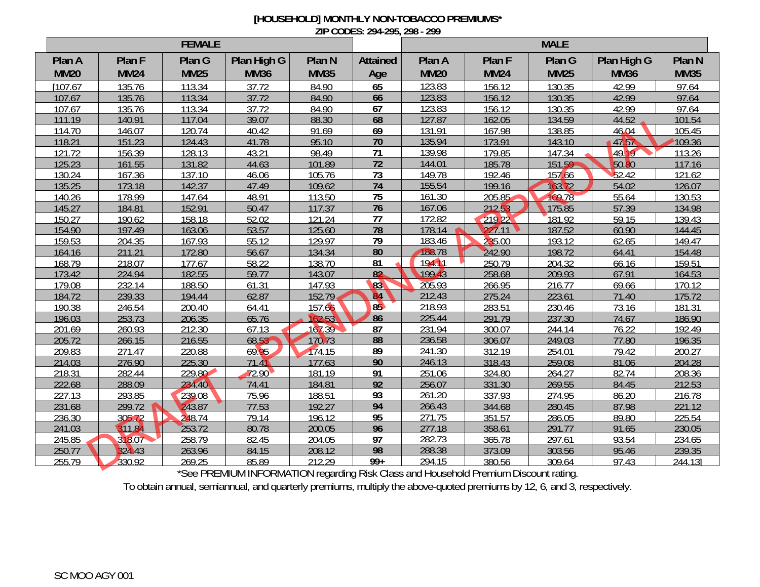## **[HOUSEHOLD] MONTHLY NON-TOBACCO PREMIUMS\* ZIP CODES: 294-295, 298 - 299**

| <b>FEMALE</b> |             |                  |                                     |                        |                    | <b>MALE</b>                         |                        |             |             |                   |  |
|---------------|-------------|------------------|-------------------------------------|------------------------|--------------------|-------------------------------------|------------------------|-------------|-------------|-------------------|--|
| Plan A        | Plan F      | Plan G           | Plan High G                         | Plan N                 | <b>Attained</b>    | Plan A                              | Plan F                 | Plan G      | Plan High G | Plan <sub>N</sub> |  |
| <b>MM20</b>   | <b>MM24</b> | <b>MM25</b>      | <b>MM36</b>                         | <b>MM35</b>            | Age                | <b>MM20</b>                         | <b>MM24</b>            | <b>MM25</b> | <b>MM36</b> | <b>MM35</b>       |  |
| [107.67]      | 135.76      | 113.34           | 37.72                               | 84.90                  | 65                 | 123.83                              | 156.12                 | 130.35      | 42.99       | 97.64             |  |
| 107.67        | 135.76      | 113.34           | 37.72                               | 84.90                  | 66                 | 123.83                              | 156.12                 | 130.35      | 42.99       | 97.64             |  |
| 107.67        | 135.76      | 113.34           | 37.72                               | 84.90                  | 67                 | 123.83                              | 156.12                 | 130.35      | 42.99       | 97.64             |  |
| 111.19        | 140.91      | 117.04           | 39.07                               | 88.30                  | 68                 | 127.87                              | 162.05                 | 134.59      | 44.52       | 101.54            |  |
| 114.70        | 146.07      | 120.74           | 40.42                               | 91.69                  | 69                 | 131.91                              | 167.98                 | 138.85      | 46.04       | 105.45            |  |
| 118.21        | 151.23      | 124.43           | 41.78                               | 95.10                  | $\overline{70}$    | 135.94                              | 173.91                 | 143.10      | 4757        | 109.36            |  |
| 121.72        | 156.39      | 128.13           | 43.21                               | 98.49                  | 71                 | 139.98                              | 179.85                 | 147.34      | 49.19       | 113.26            |  |
| 125.23        | 161.55      | 131.82           | 44.63                               | 101.89                 | $\overline{72}$    | 144.01                              | 185.78                 | 151.59      | 50.80       | 117.16            |  |
| 130.24        | 167.36      | 137.10           | 46.06                               | 105.76                 | $\overline{73}$    | 149.78                              | 192.46                 | 157.66      | 52.42       | 121.62            |  |
| 135.25        | 173.18      | 142.37           | 47.49                               | 109.62                 | 74                 | 155.54                              | 199.16                 | 163.72      | 54.02       | 126.07            |  |
| 140.26        | 178.99      | 147.64           | 48.91                               | 113.50                 | $\overline{75}$    | 161.30                              | 205.85                 | 169.78      | 55.64       | 130.53            |  |
| 145.27        | 184.81      | 152.91           | 50.47                               | 117.37                 | 76                 | 167.06                              | 212.53                 | 175.85      | 57.39       | 134.98            |  |
| 150.27        | 190.62      | 158.18           | 52.02                               | 121.24                 | 77                 | 172.82                              | 219.22                 | 181.92      | 59.15       | 139.43            |  |
| 154.90        | 197.49      | 163.06           | 53.57                               | 125.60                 | 78                 | 178.14                              | 227.11                 | 187.52      | 60.90       | 144.45            |  |
| 159.53        | 204.35      | 167.93           | 55.12                               | 129.97                 | 79                 | 183.46                              | 235.00                 | 193.12      | 62.65       | 149.47            |  |
| 164.16        | 211.21      | 172.80           | 56.67                               | 134.34                 | 80                 | 188.78                              | 242.90                 | 198.72      | 64.41       | 154.48            |  |
| 168.79        | 218.07      | 177.67           | 58.22                               | 138.70                 | $\overline{81}$    | 194.11                              | 250.79                 | 204.32      | 66.16       | 159.51            |  |
| 173.42        | 224.94      | 182.55           | 59.77                               | 143.07                 | $\overline{82}$    | 199.43                              | 258.68                 | 209.93      | 67.91       | 164.53            |  |
| 179.08        | 232.14      | 188.50           | 61.31                               | 147.93                 | 83                 | 205.93                              | 266.95                 | 216.77      | 69.66       | 170.12            |  |
| 184.72        | 239.33      | 194.44           | 62.87                               | 152.79                 | <b>B4</b>          | 212.43                              | 275.24                 | 223.61      | 71.40       | 175.72            |  |
| 190.38        | 246.54      | 200.40           | 64.41                               | 157.66                 | 85                 | 218.93                              | 283.51                 | 230.46      | 73.16       | 181.31            |  |
| 196.03        | 253.73      | 206.35           | 65.76                               | 62.53                  | 86                 | 225.44                              | 291.79                 | 237.30      | 74.67       | 186.90            |  |
| 201.69        | 260.93      | 212.30           | 67.13                               | 167.39                 | 87                 | 231.94                              | 300.07                 | 244.14      | 76.22       | 192.49            |  |
| 205.72        | 266.15      | 216.55           | 68.53                               | 170.73                 | 88                 | 236.58                              | 306.07                 | 249.03      | 77.80       | 196.35            |  |
| 209.83        | 271.47      | 220.88           | 69.95                               | 174.15                 | 89                 | 241.30                              | 312.19                 | 254.01      | 79.42       | 200.27            |  |
| 214.03        | 276.90      | 225.30           | 71.41                               | 177.63                 | 90                 | 246.13                              | 318.43                 | 259.08      | 81.06       | 204.28            |  |
| 218.31        | 282.44      | 229.80           | 72.90                               | 181.19                 | 91                 | 251.06                              | 324.80                 | 264.27      | 82.74       | 208.36            |  |
| 222.68        | 288.09      | 234.40           | 74.41                               | 184.81                 | $\overline{92}$    | 256.07                              | 331.30                 | 269.55      | 84.45       | 212.53            |  |
| 227.13        | 293.85      | 239.08           | 75.96                               | 188.51                 | 93                 | 261.20                              | 337.93                 | 274.95      | 86.20       | 216.78            |  |
| 231.68        | 299.72      | 243.87           | 77.53                               | 192.27                 | 94                 | 266.43                              | 344.68                 | 280.45      | 87.98       | 221.12            |  |
| 236.30        | 305.72      | 248.74           | 79.14                               | 196.12                 | 95                 | 271.75                              | 351.57                 | 286.05      | 89.80       | 225.54            |  |
| 241.03        | 311.84      | 253.72           | 80.78                               | 200.05                 | 96                 | 277.18                              | 358.61                 | 291.77      | 91.65       | 230.05            |  |
| 245.85        | 318.07      | 258.79           | 82.45                               | 204.05                 | $\overline{97}$    | 282.73                              | 365.78                 | 297.61      | 93.54       | 234.65            |  |
| 250.77        | 324.43      | 263.96           | 84.15                               | 208.12                 | 98                 | 288.38                              | 373.09                 | 303.56      | 95.46       | 239.35            |  |
| 255.79        | 330.92      | 269.25<br>$\sim$ | 85.89<br><b>DDEMILLMONTODIATION</b> | 212.29<br><b>THE R</b> | $99+$<br>$D1$ $D1$ | 294.15<br>1.11<br>1.11 <sub>D</sub> | 380.56<br>$\mathbf{D}$ | 309.64      | 97.43       | 244.13]           |  |

\*See PREMIUM INFORMATION regarding Risk Class and Household Premium Discount rating.